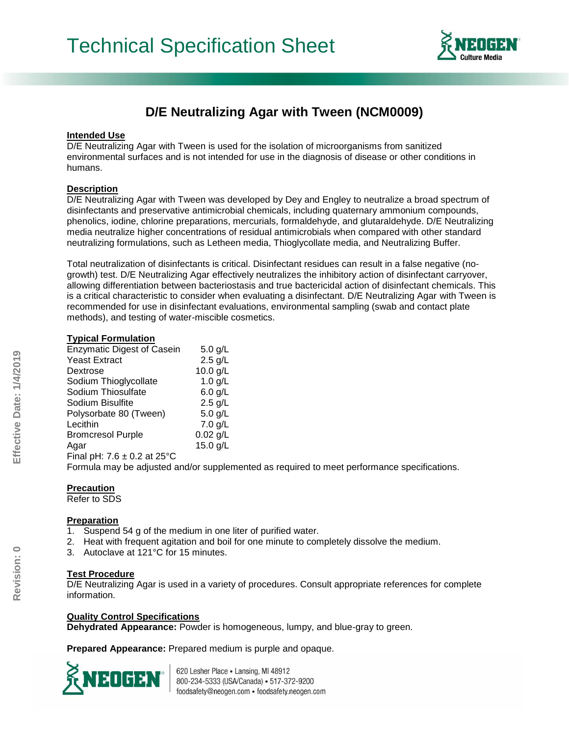

# **D/E Neutralizing Agar with Tween (NCM0009)**

#### **Intended Use**

D/E Neutralizing Agar with Tween is used for the isolation of microorganisms from sanitized environmental surfaces and is not intended for use in the diagnosis of disease or other conditions in humans.

# **Description**

D/E Neutralizing Agar with Tween was developed by Dey and Engley to neutralize a broad spectrum of disinfectants and preservative antimicrobial chemicals, including quaternary ammonium compounds, phenolics, iodine, chlorine preparations, mercurials, formaldehyde, and glutaraldehyde. D/E Neutralizing media neutralize higher concentrations of residual antimicrobials when compared with other standard neutralizing formulations, such as Letheen media, Thioglycollate media, and Neutralizing Buffer.

Total neutralization of disinfectants is critical. Disinfectant residues can result in a false negative (nogrowth) test. D/E Neutralizing Agar effectively neutralizes the inhibitory action of disinfectant carryover, allowing differentiation between bacteriostasis and true bactericidal action of disinfectant chemicals. This is a critical characteristic to consider when evaluating a disinfectant. D/E Neutralizing Agar with Tween is recommended for use in disinfectant evaluations, environmental sampling (swab and contact plate methods), and testing of water-miscible cosmetics.

## **Typical Formulation**

| <b>Enzymatic Digest of Casein</b> | $5.0$ g/L  |
|-----------------------------------|------------|
| <b>Yeast Extract</b>              | $2.5$ g/L  |
| Dextrose                          | 10.0 g/L   |
| Sodium Thioglycollate             | $1.0$ g/L  |
| Sodium Thiosulfate                | $6.0$ g/L  |
| Sodium Bisulfite                  | $2.5$ g/L  |
| Polysorbate 80 (Tween)            | $5.0$ g/L  |
| Lecithin                          | $7.0$ g/L  |
| <b>Bromcresol Purple</b>          | $0.02$ g/L |
| Agar                              | 15.0 g/L   |
| Final pH: $7.6 \pm 0.2$ at 25°C   |            |

Formula may be adjusted and/or supplemented as required to meet performance specifications.

# **Precaution**

Refer to SDS

# **Preparation**

- 1. Suspend 54 g of the medium in one liter of purified water.
- 2. Heat with frequent agitation and boil for one minute to completely dissolve the medium.
- 3. Autoclave at 121°C for 15 minutes.

#### **Test Procedure**

D/E Neutralizing Agar is used in a variety of procedures. Consult appropriate references for complete information.

# **Quality Control Specifications**

**Dehydrated Appearance:** Powder is homogeneous, lumpy, and blue-gray to green.

**Prepared Appearance:** Prepared medium is purple and opaque.



620 Lesher Place . Lansing, MI 48912 800-234-5333 (USA/Canada) - 517-372-9200 foodsafety@neogen.com · foodsafety.neogen.com